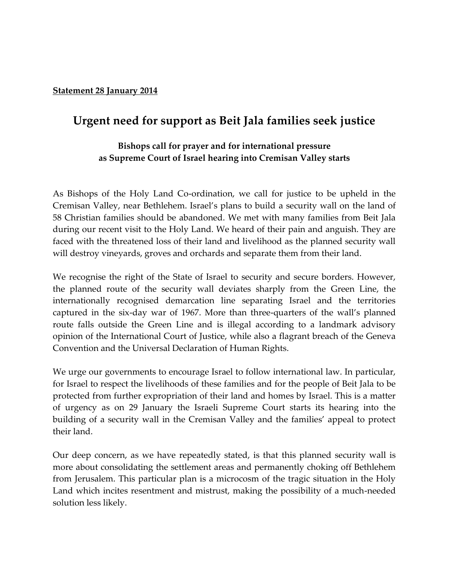## **Statement 28 January 2014**

## **Urgent need for support as Beit Jala families seek justice**

## **Bishops call for prayer and for international pressure as Supreme Court of Israel hearing into Cremisan Valley starts**

As Bishops of the Holy Land Co-ordination, we call for justice to be upheld in the Cremisan Valley, near Bethlehem. Israel's plans to build a security wall on the land of 58 Christian families should be abandoned. We met with many families from Beit Jala during our recent visit to the Holy Land. We heard of their pain and anguish. They are faced with the threatened loss of their land and livelihood as the planned security wall will destroy vineyards, groves and orchards and separate them from their land.

We recognise the right of the State of Israel to security and secure borders. However, the planned route of the security wall deviates sharply from the Green Line, the internationally recognised demarcation line separating Israel and the territories captured in the six-day war of 1967. More than three-quarters of the wall's planned route falls outside the Green Line and is illegal according to a landmark advisory opinion of the International Court of Justice, while also a flagrant breach of the Geneva Convention and the Universal Declaration of Human Rights.

We urge our governments to encourage Israel to follow international law. In particular, for Israel to respect the livelihoods of these families and for the people of Beit Jala to be protected from further expropriation of their land and homes by Israel. This is a matter of urgency as on 29 January the Israeli Supreme Court starts its hearing into the building of a security wall in the Cremisan Valley and the families' appeal to protect their land.

Our deep concern, as we have repeatedly stated, is that this planned security wall is more about consolidating the settlement areas and permanently choking off Bethlehem from Jerusalem. This particular plan is a microcosm of the tragic situation in the Holy Land which incites resentment and mistrust, making the possibility of a much-needed solution less likely.